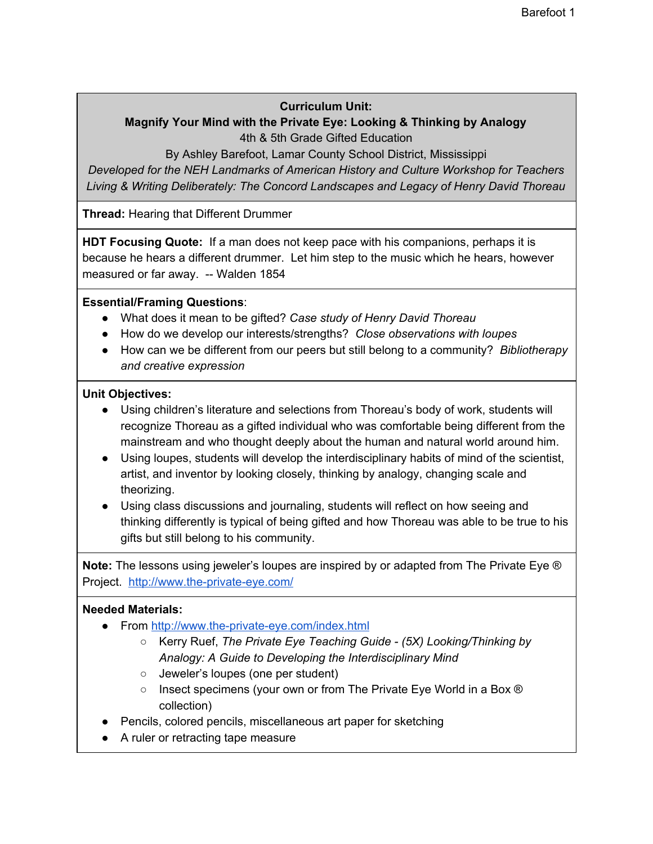### **Curriculum Unit:**

## **Magnify Your Mind with the Private Eye: Looking & Thinking by Analogy** 4th & 5th Grade Gifted Education

By Ashley Barefoot, Lamar County School District, Mississippi

*Developed for the NEH Landmarks of American History and Culture Workshop for Teachers Living & Writing Deliberately: The Concord Landscapes and Legacy of Henry David Thoreau*

**Thread:** Hearing that Different Drummer

**HDT Focusing Quote:** If a man does not keep pace with his companions, perhaps it is because he hears a different drummer. Let him step to the music which he hears, however measured or far away. -- Walden 1854

### **Essential/Framing Questions**:

- What does it mean to be gifted? *Case study of Henry David Thoreau*
- How do we develop our interests/strengths? *Close observations with loupes*
- How can we be different from our peers but still belong to a community? *Bibliotherapy and creative expression*

### **Unit Objectives:**

- Using children's literature and selections from Thoreau's body of work, students will recognize Thoreau as a gifted individual who was comfortable being different from the mainstream and who thought deeply about the human and natural world around him.
- Using loupes, students will develop the interdisciplinary habits of mind of the scientist, artist, and inventor by looking closely, thinking by analogy, changing scale and theorizing.
- Using class discussions and journaling, students will reflect on how seeing and thinking differently is typical of being gifted and how Thoreau was able to be true to his gifts but still belong to his community.

**Note:** The lessons using jeweler's loupes are inspired by or adapted from The Private Eye ® Project. <http://www.the-private-eye.com/>

### **Needed Materials:**

- From <http://www.the-private-eye.com/index.html>
	- Kerry Ruef, *The Private Eye Teaching Guide - (5X) Looking/Thinking by Analogy: A Guide to Developing the Interdisciplinary Mind*
	- Jeweler's loupes (one per student)
	- Insect specimens (your own or from The Private Eye World in a Box ® collection)
- Pencils, colored pencils, miscellaneous art paper for sketching
- A ruler or retracting tape measure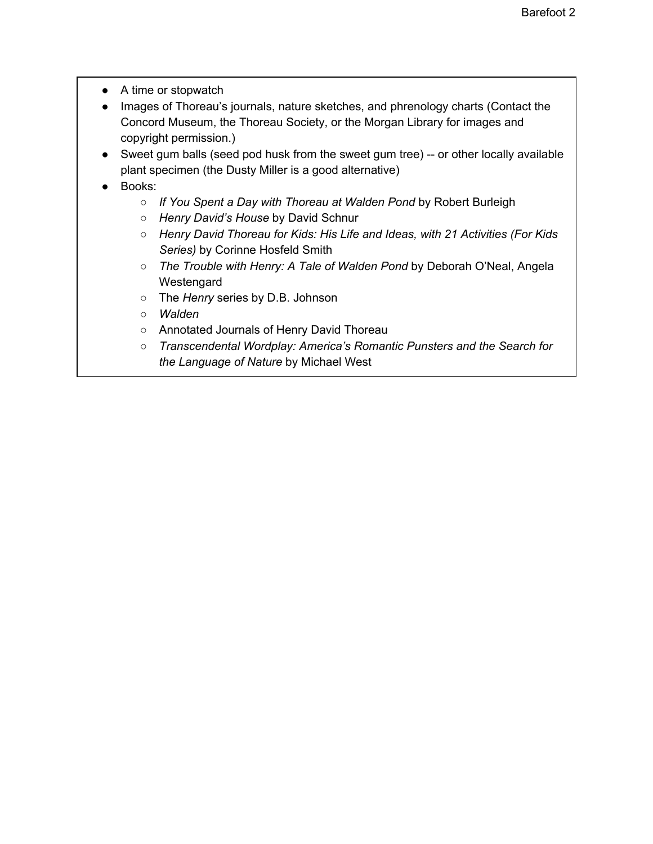- A time or stopwatch
- Images of Thoreau's journals, nature sketches, and phrenology charts (Contact the Concord Museum, the Thoreau Society, or the Morgan Library for images and copyright permission.)
- Sweet gum balls (seed pod husk from the sweet gum tree) -- or other locally available plant specimen (the Dusty Miller is a good alternative)
- Books:
	- *If You Spent a Day with Thoreau at Walden Pond* by Robert Burleigh
	- *Henry David's House* by David Schnur
	- *○ Henry David Thoreau for Kids: His Life and Ideas, with 21 Activities (For Kids Series)* by Corinne Hosfeld Smith
	- *○ The Trouble with Henry: A Tale of Walden Pond* by Deborah O'Neal, Angela Westengard
	- The *Henry* series by D.B. Johnson
	- *○ Walden*
	- Annotated Journals of Henry David Thoreau
	- *Transcendental Wordplay: America's Romantic Punsters and the Search for the Language of Nature* by Michael West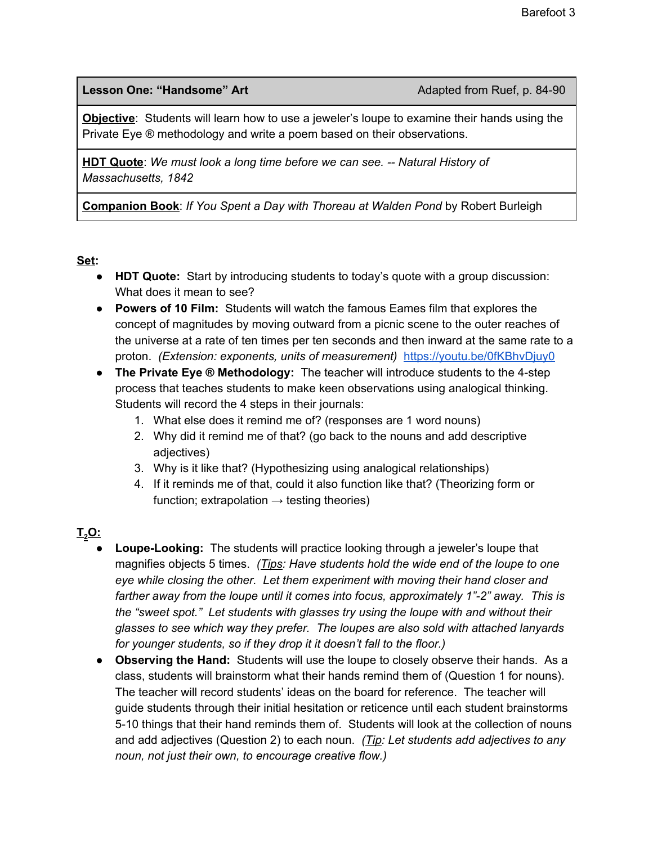### **Lesson One: "Handsome" Art** Adapted from Ruef, p. 84-90

**Objective**: Students will learn how to use a jeweler's loupe to examine their hands using the Private Eye ® methodology and write a poem based on their observations.

**HDT Quote**: *We must look a long time before we can see. -- Natural History of Massachusetts, 1842*

**Companion Book**: *If You Spent a Day with Thoreau at Walden Pond* by Robert Burleigh

### **Set:**

- **● HDT Quote:** Start by introducing students to today's quote with a group discussion: What does it mean to see?
- **● Powers of 10 Film:** Students will watch the famous Eames film that explores the concept of magnitudes by moving outward from a picnic scene to the outer reaches of the universe at a rate of ten times per ten seconds and then inward at the same rate to a proton. *(Extension: exponents, units of measurement)* <https://youtu.be/0fKBhvDjuy0>
- **● The Private Eye ® Methodology:** The teacher will introduce students to the 4-step process that teaches students to make keen observations using analogical thinking. Students will record the 4 steps in their journals:
	- 1. What else does it remind me of? (responses are 1 word nouns)
	- 2. Why did it remind me of that? (go back to the nouns and add descriptive adjectives)
	- 3. Why is it like that? (Hypothesizing using analogical relationships)
	- 4. If it reminds me of that, could it also function like that? (Theorizing form or function; extrapolation  $\rightarrow$  testing theories)

## **T<sup>2</sup>O:**

- **Loupe-Looking:** The students will practice looking through a jeweler's loupe that magnifies objects 5 times. *(Tips: Have students hold the wide end of the loupe to one eye while closing the other. Let them experiment with moving their hand closer and farther away from the loupe until it comes into focus, approximately 1"-2" away. This is the "sweet spot." Let students with glasses try using the loupe with and without their glasses to see which way they prefer. The loupes are also sold with attached lanyards for younger students, so if they drop it it doesn't fall to the floor.)*
- **● Observing the Hand:** Students will use the loupe to closely observe their hands. As a class, students will brainstorm what their hands remind them of (Question 1 for nouns). The teacher will record students' ideas on the board for reference. The teacher will guide students through their initial hesitation or reticence until each student brainstorms 5-10 things that their hand reminds them of. Students will look at the collection of nouns and add adjectives (Question 2) to each noun. *(Tip: Let students add adjectives to any noun, not just their own, to encourage creative flow.)*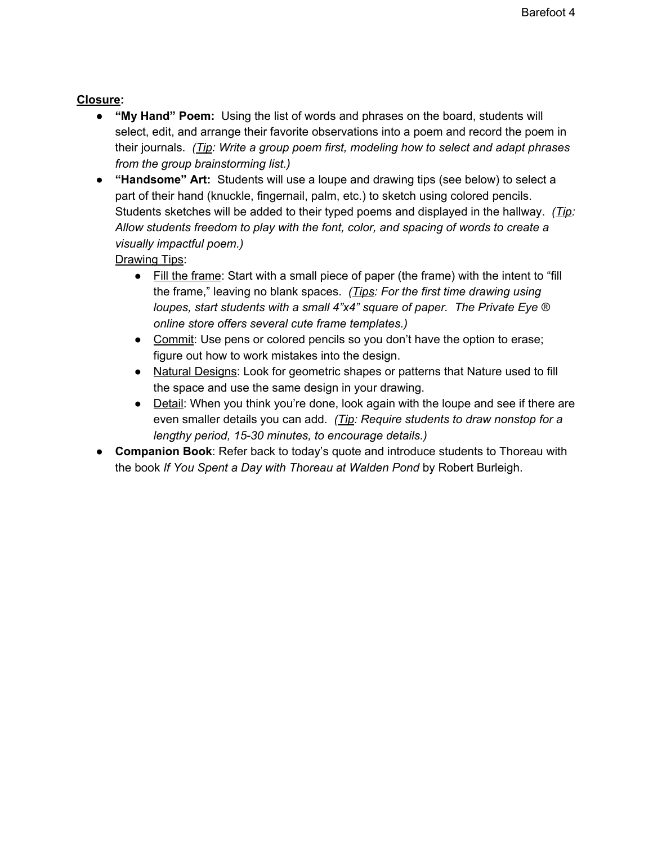## **Closure:**

- **● "My Hand" Poem:** Using the list of words and phrases on the board, students will select, edit, and arrange their favorite observations into a poem and record the poem in their journals. *(Tip: Write a group poem first, modeling how to select and adapt phrases from the group brainstorming list.)*
- **● "Handsome" Art:** Students will use a loupe and drawing tips (see below) to select a part of their hand (knuckle, fingernail, palm, etc.) to sketch using colored pencils. Students sketches will be added to their typed poems and displayed in the hallway. *(Tip: Allow students freedom to play with the font, color, and spacing of words to create a visually impactful poem.)*

Drawing Tips:

- Fill the frame: Start with a small piece of paper (the frame) with the intent to "fill the frame," leaving no blank spaces. *(Tips: For the first time drawing using loupes, start students with a small 4"x4" square of paper. The Private Eye ® online store offers several cute frame templates.)*
- Commit: Use pens or colored pencils so you don't have the option to erase; figure out how to work mistakes into the design.
- Natural Designs: Look for geometric shapes or patterns that Nature used to fill the space and use the same design in your drawing.
- Detail: When you think you're done, look again with the loupe and see if there are even smaller details you can add. *(Tip: Require students to draw nonstop for a lengthy period, 15-30 minutes, to encourage details.)*
- **Companion Book**: Refer back to today's quote and introduce students to Thoreau with the book *If You Spent a Day with Thoreau at Walden Pond* by Robert Burleigh.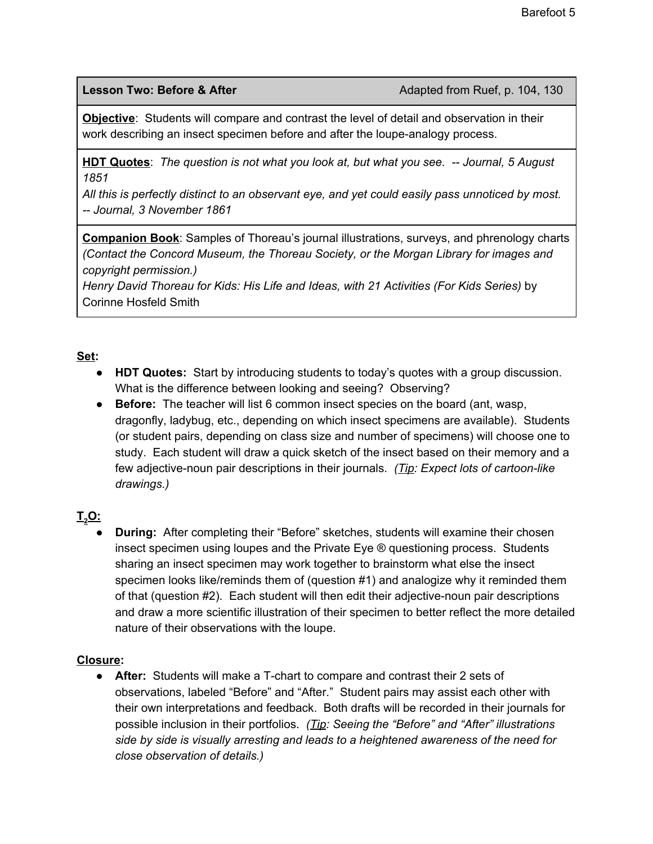**Lesson Two: Before & After** Adapted from Ruef, p. 104, 130

**Objective**: Students will compare and contrast the level of detail and observation in their work describing an insect specimen before and after the loupe-analogy process.

**HDT Quotes**: *The question is not what you look at, but what you see. -- Journal, 5 August 1851*

*All this is perfectly distinct to an observant eye, and yet could easily pass unnoticed by most. -- Journal, 3 November 1861*

**Companion Book**: Samples of Thoreau's journal illustrations, surveys, and phrenology charts *(Contact the Concord Museum, the Thoreau Society, or the Morgan Library for images and copyright permission.)*

*Henry David Thoreau for Kids: His Life and Ideas, with 21 Activities (For Kids Series)* by Corinne Hosfeld Smith

## **Set:**

- **● HDT Quotes:** Start by introducing students to today's quotes with a group discussion. What is the difference between looking and seeing? Observing?
- **● Before:** The teacher will list 6 common insect species on the board (ant, wasp, dragonfly, ladybug, etc., depending on which insect specimens are available). Students (or student pairs, depending on class size and number of specimens) will choose one to study. Each student will draw a quick sketch of the insect based on their memory and a few adjective-noun pair descriptions in their journals. *(Tip: Expect lots of cartoon-like drawings.)*

# **T<sup>2</sup>O:**

**During:** After completing their "Before" sketches, students will examine their chosen insect specimen using loupes and the Private Eye ® questioning process. Students sharing an insect specimen may work together to brainstorm what else the insect specimen looks like/reminds them of (question #1) and analogize why it reminded them of that (question #2). Each student will then edit their adjective-noun pair descriptions and draw a more scientific illustration of their specimen to better reflect the more detailed nature of their observations with the loupe.

## **Closure:**

**● After:** Students will make a T-chart to compare and contrast their 2 sets of observations, labeled "Before" and "After." Student pairs may assist each other with their own interpretations and feedback. Both drafts will be recorded in their journals for possible inclusion in their portfolios. *(Tip: Seeing the "Before" and "After" illustrations side by side is visually arresting and leads to a heightened awareness of the need for close observation of details.)*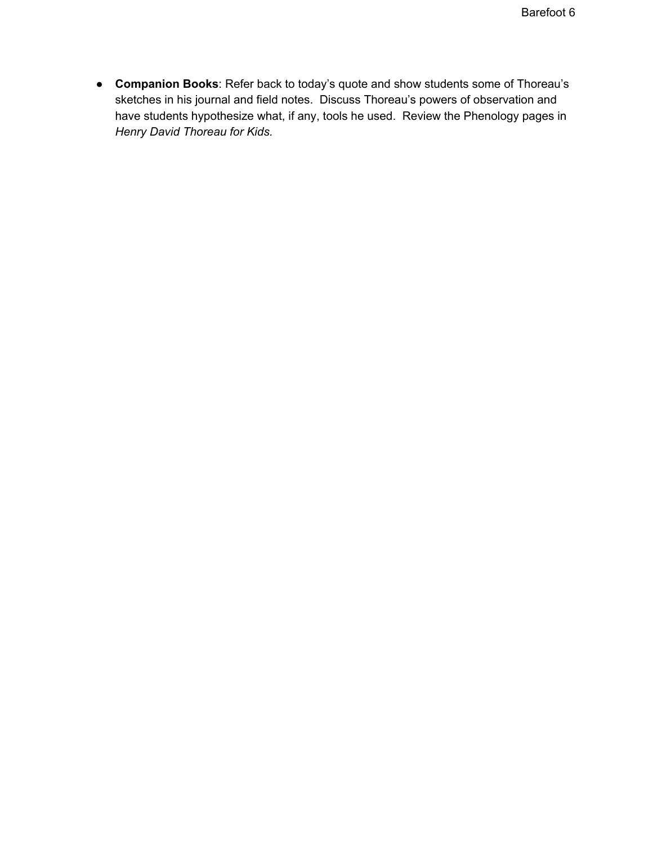● **Companion Books**: Refer back to today's quote and show students some of Thoreau's sketches in his journal and field notes. Discuss Thoreau's powers of observation and have students hypothesize what, if any, tools he used. Review the Phenology pages in *Henry David Thoreau for Kids.*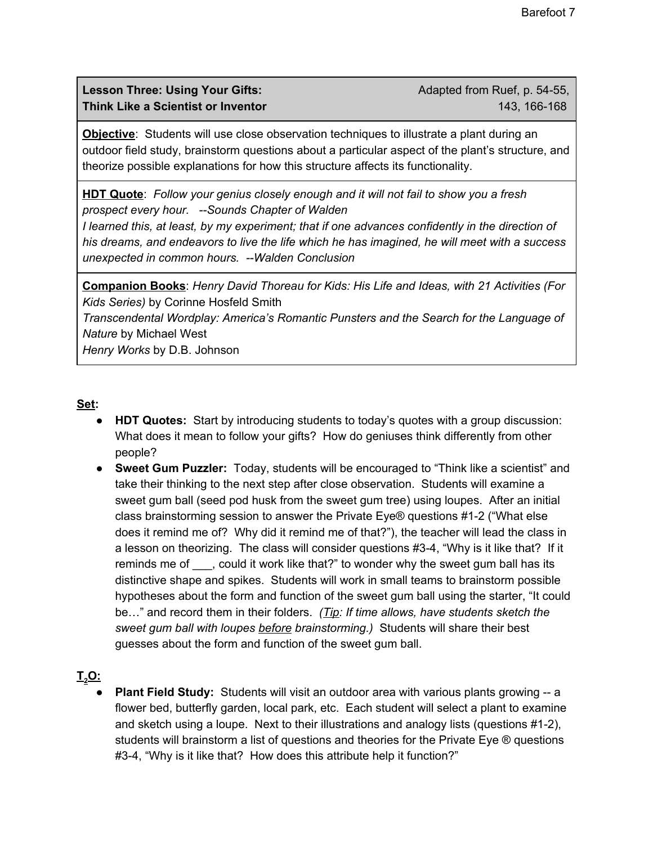**Lesson Three: Using Your Gifts:** Adapted from Ruef, p. 54-55, **Think Like a Scientist or Inventor** 143, 166-168

**Objective**: Students will use close observation techniques to illustrate a plant during an outdoor field study, brainstorm questions about a particular aspect of the plant's structure, and theorize possible explanations for how this structure affects its functionality.

**HDT Quote**: *Follow your genius closely enough and it will not fail to show you a fresh prospect every hour. --Sounds Chapter of Walden*

*I learned this, at least, by my experiment; that if one advances confidently in the direction of his dreams, and endeavors to live the life which he has imagined, he will meet with a success unexpected in common hours. --Walden Conclusion*

**Companion Books**: *Henry David Thoreau for Kids: His Life and Ideas, with 21 Activities (For Kids Series)* by Corinne Hosfeld Smith *Transcendental Wordplay: America's Romantic Punsters and the Search for the Language of Nature* by Michael West *Henry Works* by D.B. Johnson

#### **Set:**

- **● HDT Quotes:** Start by introducing students to today's quotes with a group discussion: What does it mean to follow your gifts? How do geniuses think differently from other people?
- **● Sweet Gum Puzzler:** Today, students will be encouraged to "Think like a scientist" and take their thinking to the next step after close observation. Students will examine a sweet gum ball (seed pod husk from the sweet gum tree) using loupes. After an initial class brainstorming session to answer the Private Eye® questions #1-2 ("What else does it remind me of? Why did it remind me of that?"), the teacher will lead the class in a lesson on theorizing. The class will consider questions #3-4, "Why is it like that? If it reminds me of could it work like that?" to wonder why the sweet gum ball has its distinctive shape and spikes. Students will work in small teams to brainstorm possible hypotheses about the form and function of the sweet gum ball using the starter, "It could be…" and record them in their folders. *(Tip: If time allows, have students sketch the sweet gum ball with loupes before brainstorming.)* Students will share their best guesses about the form and function of the sweet gum ball.

## **T<sup>2</sup>O:**

**Plant Field Study:** Students will visit an outdoor area with various plants growing -- a flower bed, butterfly garden, local park, etc. Each student will select a plant to examine and sketch using a loupe. Next to their illustrations and analogy lists (questions #1-2), students will brainstorm a list of questions and theories for the Private Eye ® questions #3-4, "Why is it like that? How does this attribute help it function?"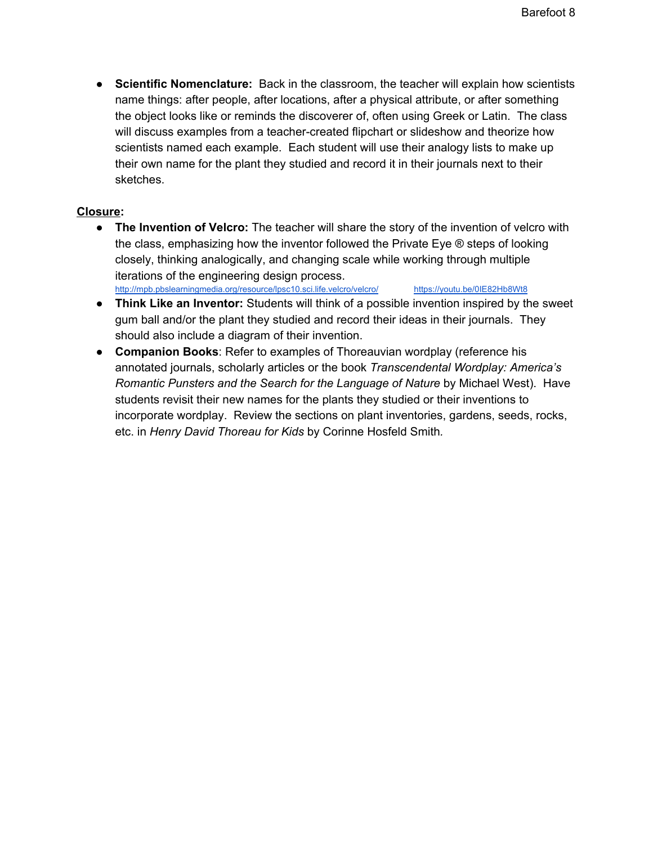**● Scientific Nomenclature:** Back in the classroom, the teacher will explain how scientists name things: after people, after locations, after a physical attribute, or after something the object looks like or reminds the discoverer of, often using Greek or Latin. The class will discuss examples from a teacher-created flipchart or slideshow and theorize how scientists named each example. Each student will use their analogy lists to make up their own name for the plant they studied and record it in their journals next to their sketches.

#### **Closure:**

- **The Invention of Velcro:** The teacher will share the story of the invention of velcro with the class, emphasizing how the inventor followed the Private Eye ® steps of looking closely, thinking analogically, and changing scale while working through multiple iterations of the engineering design process. <http://mpb.pbslearningmedia.org/resource/lpsc10.sci.life.velcro/velcro/> <https://youtu.be/0IE82Hb8Wt8>
- **● Think Like an Inventor:** Students will think of a possible invention inspired by the sweet gum ball and/or the plant they studied and record their ideas in their journals. They should also include a diagram of their invention.
- **Companion Books**: Refer to examples of Thoreauvian wordplay (reference his annotated journals, scholarly articles or the book *Transcendental Wordplay: America's Romantic Punsters and the Search for the Language of Nature* by Michael West). Have students revisit their new names for the plants they studied or their inventions to incorporate wordplay. Review the sections on plant inventories, gardens, seeds, rocks, etc. in *Henry David Thoreau for Kids* by Corinne Hosfeld Smith*.*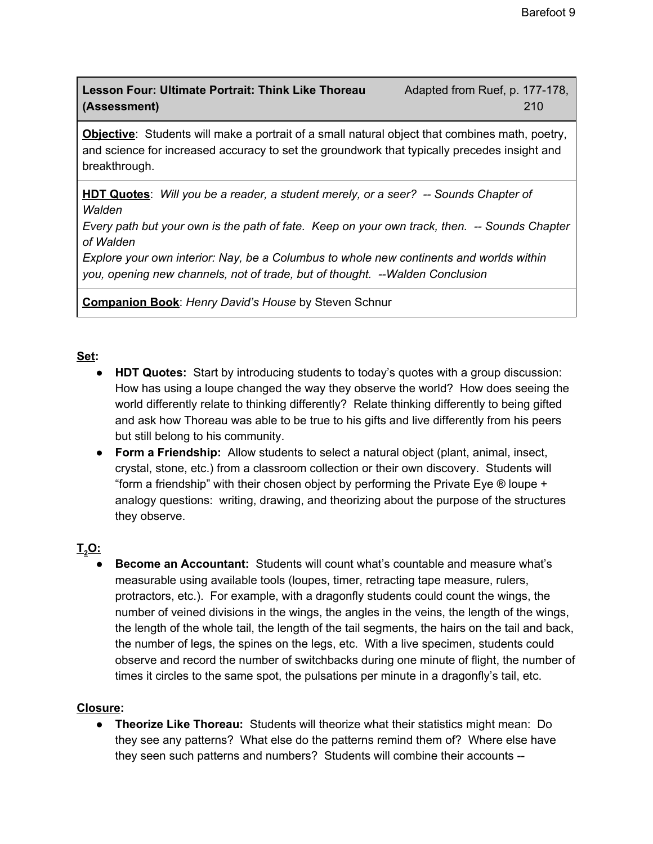## **Lesson Four: Ultimate Portrait: Think Like Thoreau** Adapted from Ruef, p. 177-178, **(Assessment)** 210

**Objective**: Students will make a portrait of a small natural object that combines math, poetry, and science for increased accuracy to set the groundwork that typically precedes insight and breakthrough.

**HDT Quotes**: *Will you be a reader, a student merely, or a seer? -- Sounds Chapter of Walden*

Every path but your own is the path of fate. Keep on your own track, then. -- Sounds Chapter *of Walden*

*Explore your own interior: Nay, be a Columbus to whole new continents and worlds within you, opening new channels, not of trade, but of thought. --Walden Conclusion*

**Companion Book**: *Henry David's House* by Steven Schnur

### **Set:**

- **● HDT Quotes:** Start by introducing students to today's quotes with a group discussion: How has using a loupe changed the way they observe the world? How does seeing the world differently relate to thinking differently? Relate thinking differently to being gifted and ask how Thoreau was able to be true to his gifts and live differently from his peers but still belong to his community.
- **● Form a Friendship:** Allow students to select a natural object (plant, animal, insect, crystal, stone, etc.) from a classroom collection or their own discovery. Students will "form a friendship" with their chosen object by performing the Private Eye ® loupe + analogy questions: writing, drawing, and theorizing about the purpose of the structures they observe.

# **T<sup>2</sup>O:**

**● Become an Accountant:** Students will count what's countable and measure what's measurable using available tools (loupes, timer, retracting tape measure, rulers, protractors, etc.). For example, with a dragonfly students could count the wings, the number of veined divisions in the wings, the angles in the veins, the length of the wings, the length of the whole tail, the length of the tail segments, the hairs on the tail and back, the number of legs, the spines on the legs, etc. With a live specimen, students could observe and record the number of switchbacks during one minute of flight, the number of times it circles to the same spot, the pulsations per minute in a dragonfly's tail, etc.

### **Closure:**

**● Theorize Like Thoreau:** Students will theorize what their statistics might mean: Do they see any patterns? What else do the patterns remind them of? Where else have they seen such patterns and numbers? Students will combine their accounts --